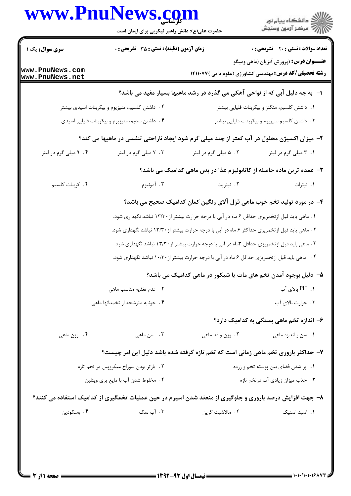|                                          | www.PnuNews.com<br>حضرت علی(ع): دانش راهبر نیکویی برای ایمان است                                        |                                                                                                  | ر دانشگاه پيام نور<br>دانشگاه پيام نور (                                                                        |  |
|------------------------------------------|---------------------------------------------------------------------------------------------------------|--------------------------------------------------------------------------------------------------|-----------------------------------------------------------------------------------------------------------------|--|
| <b>سری سوال :</b> یک ۱                   | زمان آزمون (دقیقه) : تستی : ۳۵ گشریحی : 0                                                               |                                                                                                  | <b>تعداد سوالات : تستی : 20 ٪ تشریحی : 0</b>                                                                    |  |
| www.PnuNews.com<br>www.PnuNews.net       |                                                                                                         |                                                                                                  | <b>عنـــوان درس:</b> (پرورش آبزیان (ماهی ومیگو<br><b>رشته تحصیلی/کد درس:</b> مهندسی کشاورزی (علوم دامی )۱۴۱۱۰۷۷ |  |
|                                          |                                                                                                         | ا-۔به چه دلیل آبی که از نواحی آهکی می گذرد در رشد ماهیها بسیار مفید می باشد؟                     |                                                                                                                 |  |
|                                          | ۰۲ داشتن کلسیم، منیزیوم و بیکربنات اسیدی بیشتر                                                          |                                                                                                  | ۰۱ داشتن کلسیم، منگنز و بیکربنات قلیایی بیشتر                                                                   |  |
|                                          | ۰۴ داشتن سدیم، منیزیوم و بیکربنات قلیایی اسیدی                                                          |                                                                                                  | ۰۳ داشتن کلسیم،منیزیوم و بیکربنات قلیایی بیشتر                                                                  |  |
|                                          | ۲- میزان اکسیژن محلول در آب کمتر از چند میلی گرم شود ایجاد ناراحتی تنفسی در ماهیها می کند؟              |                                                                                                  |                                                                                                                 |  |
| ۰۴ میلی گرم در لیتر                      | ۰۳ . ۷ میلی گرم در لیتر                                                                                 | ۰۲ ۵ میلی گرم در لیتر                                                                            | ۰۱ ۲ میلی گرم در لیتر                                                                                           |  |
|                                          |                                                                                                         | ۳– عمده ترین ماده حاصله از کاتابولیزم غذا در بدن ماهی کدامیک می باشد؟                            |                                                                                                                 |  |
| ۴. کربنات کلسیم                          | ۰۳ آمونيوم                                                                                              | ۰۲ نیتریت                                                                                        | ٠١. نيترات                                                                                                      |  |
|                                          |                                                                                                         | ۴- در مورد تولید تخم خوب ماهی قزل آلای رنگین کمان کدامیک صحیح می باشد؟                           |                                                                                                                 |  |
|                                          |                                                                                                         | ۱. ماهی باید قبل ازتخمریزی حداقل ۶ ماه در آبی با درجه حرارت بیشتر از ۱۳/۳۰ نباشد نگهداری شود.    |                                                                                                                 |  |
|                                          |                                                                                                         | ۲ . ماهی باید قبل از تخمریزی حداکثر ۶ ماه در آبی با درجه حرارت بیشتر از ۱۳/۳۰ نباشد نگهداری شود. |                                                                                                                 |  |
|                                          |                                                                                                         | ۰۳ ماهی باید قبل ازتخمریزی حداقل ۳ماه در آبی با درجه حرارت بیشتر از ۱۳/۳۰ نباشد نگهداری شود.     |                                                                                                                 |  |
|                                          |                                                                                                         | ۰۴ ماهی باید قبل از تخمریزی حداقل ۶ ماه در آبی با درجه حرارت بیشتر از۱۰/۳۰ نباشد نگهداری شود.    |                                                                                                                 |  |
|                                          |                                                                                                         | ۵– دلیل بوجود آمدن تخم های مات یا شبکور در ماهی کدامیک می باشد؟                                  |                                                                                                                 |  |
|                                          | ٢. عدم تغذيه مناسب ماهي                                                                                 |                                                                                                  | ۰۱. PH بالای آب                                                                                                 |  |
|                                          | ۴. خونابه مترشحه از تخمدانها ماهی                                                                       |                                                                                                  | ۰۳ حرارت بالای آب                                                                                               |  |
|                                          |                                                                                                         |                                                                                                  | ۶– اندازه تخم ماهی بستگی به کدامیک دارد؟                                                                        |  |
| ۴. وزن ماهي                              | ۰۳ سن ماهی                                                                                              | ۰۲ وزن و قد ماهي                                                                                 | <b>۱.</b> سن و اندازه ماهي                                                                                      |  |
|                                          | ۷- حداکثر باروری تخم ماهی زمانی است که تخم تازه گرفته شده باشد دلیل این امر چیست؟                       |                                                                                                  |                                                                                                                 |  |
| ۰۲ بازتر بودن سوراخ میکروپیل در تخم تازه |                                                                                                         |                                                                                                  | ۰۱ پر شدن فضای بین پوسته تخم و زرده                                                                             |  |
| ۰۴ مخلوط شدن آب با مایع پری ویتلین       |                                                                                                         |                                                                                                  | ۰۳ جذب میزان زیادی آب درتخم تازه                                                                                |  |
|                                          | ۸– جهت افزایش درصد باروری و جلوگیری از منعقد شدن اسپرم در حین عملیات تخمگیری از کدامیک استفاده می کنند؟ |                                                                                                  |                                                                                                                 |  |
| ۰۴ وسکودين                               | ۰۳ آب نمک                                                                                               | ٢. مالاشيت گرين                                                                                  | ٠١. اسيد استيک                                                                                                  |  |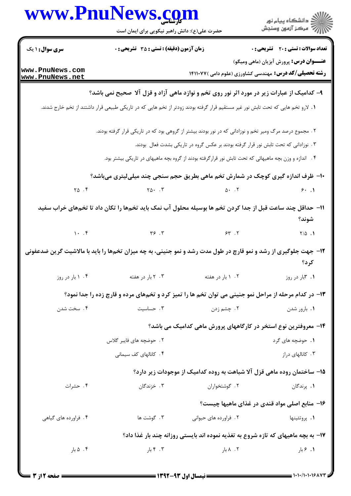|                                                                                                                                 | www.PnuNews.com<br>حضرت علی(ع): دانش راهبر نیکویی برای ایمان است                                         |                       | ڪ دانشڪاه پيام نور<br>ر∕⊂ مرڪز آزمون وسنڊش                                                                      |  |  |
|---------------------------------------------------------------------------------------------------------------------------------|----------------------------------------------------------------------------------------------------------|-----------------------|-----------------------------------------------------------------------------------------------------------------|--|--|
| <b>سری سوال : ۱ یک</b>                                                                                                          | <b>زمان آزمون (دقیقه) : تستی : 35 تشریحی : 0</b>                                                         |                       | <b>تعداد سوالات : تستی : 20 - تشریحی : 0</b>                                                                    |  |  |
| www.PnuNews.com<br>www.PnuNews.net                                                                                              |                                                                                                          |                       | <b>عنـــوان درس:</b> پرورش آبزیان (ماهی ومیگو)<br><b>رشته تحصیلی/کد درس:</b> مهندسی کشاورزی (علوم دامی )۱۴۱۱۰۷۷ |  |  |
|                                                                                                                                 | ۹- کدامیک از عبارات زیر در مورد اثر نور روی تخم و نوازد ماهی آزاد و قزل آلا  صحیح نمی باشد؟              |                       |                                                                                                                 |  |  |
| ۱. لارو تخم هایی که تحت تابش نور غیر مستقیم قرار گرفته بودند زودتر از تخم هایی که در تاریکی طبیعی قرار داشتند از تخم خارج شدند. |                                                                                                          |                       |                                                                                                                 |  |  |
|                                                                                                                                 | ۲ . مجموع درصد مرگ ومیر تخم و نوزادانی که در نور بودند بیشتر از گروهی بود که در تاریکی قرار گرفته بودند. |                       |                                                                                                                 |  |  |
| ۰۳ نوزادانی که تحت تابش نور قرار گرفته بودند بر عکس گروه در تاریکی بشدت فعال ًبودند.                                            |                                                                                                          |                       |                                                                                                                 |  |  |
|                                                                                                                                 | ۰۴ اندازه و وزن بچه ماهیهائی که تحت تابش نور قرارگرفته بودند از گروه بچه ماهیهای در تاریکی بیشتر بود.    |                       |                                                                                                                 |  |  |
|                                                                                                                                 | ∙۱- ظرف اندازه گیری کوچک در شمارش تخم ماهی بطریق حجم سنجی چند میلیلیتری میباشد؟                          |                       |                                                                                                                 |  |  |
| $\uparrow \Delta$ . $\uparrow$                                                                                                  | $Y \triangle \cdot \cdot \cdot Y$                                                                        | $\Delta$ . T          | 9.1                                                                                                             |  |  |
| 11– حداقل چند ساعت قبل از جدا کردن تخم ها بوسیله محلول آب نمک باید تخمها را تکان داد تا تخمهای خراب سفید<br>شوند؟               |                                                                                                          |                       |                                                                                                                 |  |  |
|                                                                                                                                 | $\gamma$ . F $\gamma$ $\gamma$ $\gamma$ $\gamma$                                                         |                       | $Y/\Delta$ .                                                                                                    |  |  |
| ۱۲- جهت جلوگیری از رشد و نمو قارچ در طول مدت رشد و نمو جنینی، به چه میزان تخمها را باید با مالاشیت گرین ضدعفونی<br>کر د؟        |                                                                                                          |                       |                                                                                                                 |  |  |
| ۰۴ ۱ بار در روز                                                                                                                 | ۰۳ ۲ بار در هفته                                                                                         | ۰۲ ۱ بار در هفته      | ۰۱ ۳.۱ در روز                                                                                                   |  |  |
| ۱۳- در کدام مرحله از مراحل نمو جنینی می توان تخم ها را تمیز کرد و تخمهای مرده و قارچ زده را جدا نمود؟                           |                                                                                                          |                       |                                                                                                                 |  |  |
| ۰۴ سخت شدن                                                                                                                      | ۰۳ حساسیت                                                                                                | ۰۲ چشم زدن            | ٠١. بارور شدن                                                                                                   |  |  |
| ۱۴– معروفترین نوع استخر در کارگاههای پرورش ماهی کدامیک می باشد؟                                                                 |                                                                                                          |                       |                                                                                                                 |  |  |
|                                                                                                                                 | ۲.  حوضچه های فایبر گلاس                                                                                 |                       | ۱. حوضچه های گرد                                                                                                |  |  |
|                                                                                                                                 | ۴. كانالهاى كف سيمانى                                                                                    |                       | ۰۳ کانالهای دراز                                                                                                |  |  |
|                                                                                                                                 |                                                                                                          |                       | ۱۵– ساختمان روده ماهی قزل آلا شباهت به روده کدامیک از موجودات زیر دارد؟                                         |  |  |
| ۰۴ حشرات                                                                                                                        | ۰۳ خزندگان                                                                                               | ۰۲ گوشتخواران         | ۰۱ پرندگان                                                                                                      |  |  |
|                                                                                                                                 |                                                                                                          |                       | ۱۶– منابع اصلی مواد قندی در غذای ماهیها چیست؟                                                                   |  |  |
| ۰۴ فراورده های گیاهی                                                                                                            | ۰۳ گوشت ها                                                                                               | ۲. فراورده های حیوانی | ۰۱ پروتئينها                                                                                                    |  |  |
|                                                                                                                                 |                                                                                                          |                       | ۱۷- به بچه ماهیهای که تازه شروع به تغذیه نموده اند بایستی روزانه چند بار غذا داد؟                               |  |  |
| ۰۴ ۵ بار                                                                                                                        | ۰۳ ۴ بار                                                                                                 | ۰۲ ۸ بار              | ۰۱ ۶.۱                                                                                                          |  |  |
|                                                                                                                                 |                                                                                                          |                       |                                                                                                                 |  |  |